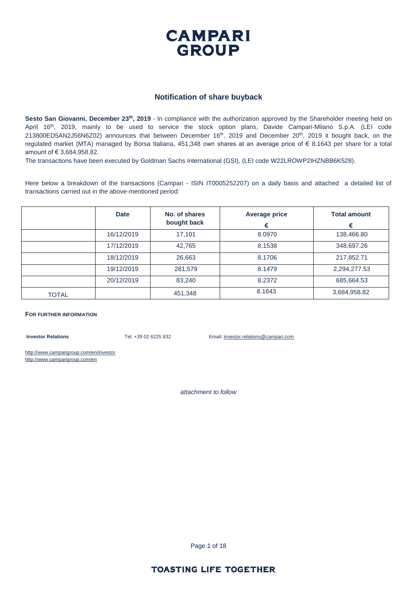

#### **Notification of share buyback**

**Sesto San Giovanni, December 23th, 2019** - In compliance with the authorization approved by the Shareholder meeting held on April 16<sup>th</sup>, 2019, mainly to be used to service the stock option plans, Davide Campari-Milano S.p.A. (LEI code 213800ED5AN2J56N6Z02) announces that between December 16<sup>th</sup>, 2019 and December 20<sup>th</sup>, 2019 it bought back, on the regulated market (MTA) managed by Borsa Italiana, 451,348 own shares at an average price of € 8.1643 per share for a total amount of € 3,684,958.82.

The transactions have been executed by Goldman Sachs International (GSI), (LEI code W22LROWP2IHZNBB6K528).

Here below a breakdown of the transactions (Campari - ISIN IT0005252207) on a daily basis and attached a detailed list of transactions carried out in the above-mentioned period:

|              | <b>Date</b> | No. of shares<br>bought back | <b>Average price</b><br>€ | <b>Total amount</b><br>€ |
|--------------|-------------|------------------------------|---------------------------|--------------------------|
|              | 16/12/2019  | 17,101                       | 8.0970                    | 138,466.80               |
|              | 17/12/2019  | 42,765                       | 8.1538                    | 348,697.26               |
|              | 18/12/2019  | 26,663                       | 8.1706                    | 217,852.71               |
|              | 19/12/2019  | 281.579                      | 8.1479                    | 2,294,277.53             |
|              | 20/12/2019  | 83,240                       | 8.2372                    | 685,664.53               |
| <b>TOTAL</b> |             | 451,348                      | 8.1643                    | 3,684,958.82             |

#### **FOR FURTHER INFORMATION**

**Investor Relations** Tel. +39 02 6225 832 Email: investor.relations@campari.com

http://www.camparigroup.com/en/investor http://www.camparigroup.com/en

*attachment to follow*

Page 1 of 18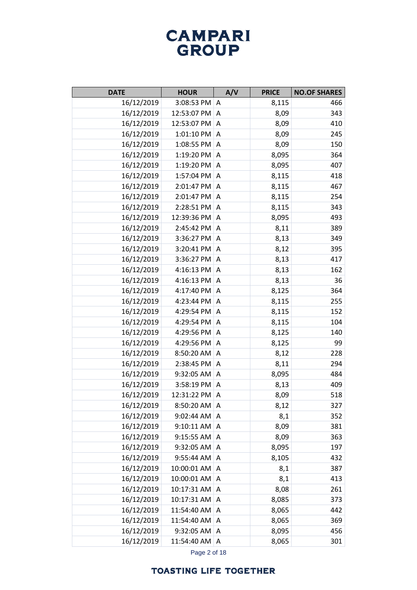| <b>DATE</b> | <b>HOUR</b>       | A/V            | <b>PRICE</b> | <b>NO.OF SHARES</b> |
|-------------|-------------------|----------------|--------------|---------------------|
| 16/12/2019  | 3:08:53 PM A      |                | 8,115        | 466                 |
| 16/12/2019  | 12:53:07 PM A     |                | 8,09         | 343                 |
| 16/12/2019  | 12:53:07 PM A     |                | 8,09         | 410                 |
| 16/12/2019  | $1:01:10$ PM $ A$ |                | 8,09         | 245                 |
| 16/12/2019  | 1:08:55 PM        | Α              | 8,09         | 150                 |
| 16/12/2019  | 1:19:20 PM        | A              | 8,095        | 364                 |
| 16/12/2019  | 1:19:20 PM        | Α              | 8,095        | 407                 |
| 16/12/2019  | 1:57:04 PM        | A              | 8,115        | 418                 |
| 16/12/2019  | 2:01:47 PM        | Α              | 8,115        | 467                 |
| 16/12/2019  | 2:01:47 PM        | A              | 8,115        | 254                 |
| 16/12/2019  | 2:28:51 PM        | Α              | 8,115        | 343                 |
| 16/12/2019  | 12:39:36 PM       | A              | 8,095        | 493                 |
| 16/12/2019  | 2:45:42 PM        | Α              | 8,11         | 389                 |
| 16/12/2019  | 3:36:27 PM        | A              | 8,13         | 349                 |
| 16/12/2019  | 3:20:41 PM        | Α              | 8,12         | 395                 |
| 16/12/2019  | 3:36:27 PM A      |                | 8,13         | 417                 |
| 16/12/2019  | 4:16:13 PM        | Α              | 8,13         | 162                 |
| 16/12/2019  | 4:16:13 PM        | $\overline{A}$ | 8,13         | 36                  |
| 16/12/2019  | 4:17:40 PM        | Α              | 8,125        | 364                 |
| 16/12/2019  | 4:23:44 PM        | $\Lambda$      | 8,115        | 255                 |
| 16/12/2019  | 4:29:54 PM        | Α              | 8,115        | 152                 |
| 16/12/2019  | 4:29:54 PM        | A              | 8,115        | 104                 |
| 16/12/2019  | 4:29:56 PM        | Α              | 8,125        | 140                 |
| 16/12/2019  | 4:29:56 PM        | A              | 8,125        | 99                  |
| 16/12/2019  | 8:50:20 AM        | Α              | 8,12         | 228                 |
| 16/12/2019  | 2:38:45 PM        | A              | 8,11         | 294                 |
| 16/12/2019  | $9:32:05$ AM      | A              | 8,095        | 484                 |
| 16/12/2019  | 3:58:19 PM        | $\Lambda$      | 8,13         | 409                 |
| 16/12/2019  | 12:31:22 PM       | A              | 8,09         | 518                 |
| 16/12/2019  | 8:50:20 AM A      |                | 8,12         | 327                 |
| 16/12/2019  | 9:02:44 AM        | Α              | 8,1          | 352                 |
| 16/12/2019  | 9:10:11 AM        | A              | 8,09         | 381                 |
| 16/12/2019  | $9:15:55$ AM      | Α              | 8,09         | 363                 |
| 16/12/2019  | 9:32:05 AM        | A              | 8,095        | 197                 |
| 16/12/2019  | 9:55:44 AM        | A              | 8,105        | 432                 |
| 16/12/2019  | 10:00:01 AM       | A              | 8,1          | 387                 |
| 16/12/2019  | 10:00:01 AM       | Α              | 8,1          | 413                 |
| 16/12/2019  | 10:17:31 AM       | Α              | 8,08         | 261                 |
| 16/12/2019  | 10:17:31 AM       | Α              | 8,085        | 373                 |
| 16/12/2019  | 11:54:40 AM       | Α              | 8,065        | 442                 |
| 16/12/2019  | 11:54:40 AM       | Α              | 8,065        | 369                 |
| 16/12/2019  | 9:32:05 AM        | A              | 8,095        | 456                 |
| 16/12/2019  | 11:54:40 AM       | A              | 8,065        | 301                 |

Page 2 of 18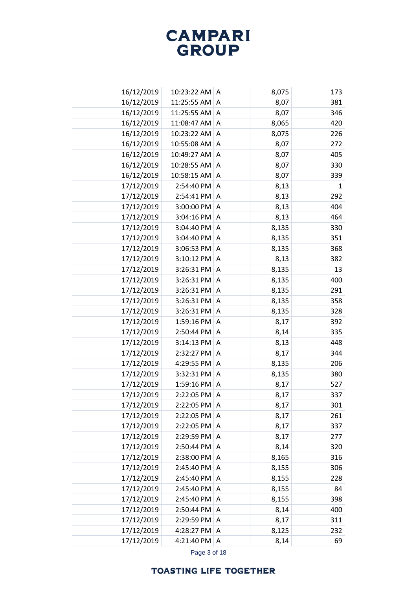| 16/12/2019 | 10:23:22 AM A     |                | 8,075 | 173          |
|------------|-------------------|----------------|-------|--------------|
| 16/12/2019 | 11:25:55 AM       | A              | 8,07  | 381          |
| 16/12/2019 | 11:25:55 AM $ A $ |                | 8,07  | 346          |
| 16/12/2019 | 11:08:47 AM       | A              | 8,065 | 420          |
| 16/12/2019 | 10:23:22 AM A     |                | 8,075 | 226          |
| 16/12/2019 | 10:55:08 AM       | A              | 8,07  | 272          |
| 16/12/2019 | 10:49:27 AM       | A              | 8,07  | 405          |
| 16/12/2019 | 10:28:55 AM       | Α              | 8,07  | 330          |
| 16/12/2019 | 10:58:15 AM A     |                | 8,07  | 339          |
| 17/12/2019 | 2:54:40 PM        | Α              | 8,13  | $\mathbf{1}$ |
| 17/12/2019 | 2:54:41 PM        | A              | 8,13  | 292          |
| 17/12/2019 | 3:00:00 PM        | Α              | 8,13  | 404          |
| 17/12/2019 | 3:04:16 PM        | A              | 8,13  | 464          |
| 17/12/2019 | 3:04:40 PM        | Α              | 8,135 | 330          |
| 17/12/2019 | 3:04:40 PM        | A              | 8,135 | 351          |
| 17/12/2019 | 3:06:53 PM        | Α              | 8,135 | 368          |
| 17/12/2019 | 3:10:12 PM        | A              | 8,13  | 382          |
| 17/12/2019 | 3:26:31 PM        | Α              | 8,135 | 13           |
| 17/12/2019 | 3:26:31 PM        | $\overline{A}$ | 8,135 | 400          |
| 17/12/2019 | 3:26:31 PM        | Α              | 8,135 | 291          |
| 17/12/2019 | 3:26:31 PM        | $\overline{A}$ | 8,135 | 358          |
| 17/12/2019 | 3:26:31 PM        | Α              | 8,135 | 328          |
| 17/12/2019 | 1:59:16 PM        | A              | 8,17  | 392          |
| 17/12/2019 | 2:50:44 PM        | A              | 8,14  | 335          |
| 17/12/2019 | 3:14:13 PM        | $\overline{A}$ | 8,13  | 448          |
| 17/12/2019 | 2:32:27 PM        | A              | 8,17  | 344          |
| 17/12/2019 | 4:29:55 PM        | $\overline{A}$ | 8,135 | 206          |
| 17/12/2019 | 3:32:31 PM        | A              | 8,135 | 380          |
| 17/12/2019 | 1:59:16 PM        | $\overline{A}$ | 8,17  | 527          |
| 17/12/2019 | 2:22:05 PM        | Α              | 8,17  | 337          |
| 17/12/2019 | 2:22:05 PM        | A              | 8,17  | 301          |
| 17/12/2019 | 2:22:05 PM        | Α              | 8,17  | 261          |
| 17/12/2019 | 2:22:05 PM        | A              | 8,17  | 337          |
| 17/12/2019 | 2:29:59 PM        | A              | 8,17  | 277          |
| 17/12/2019 | 2:50:44 PM        | A              | 8,14  | 320          |
| 17/12/2019 | 2:38:00 PM        | A              | 8,165 | 316          |
| 17/12/2019 | 2:45:40 PM        | A              | 8,155 | 306          |
| 17/12/2019 | 2:45:40 PM        | A              | 8,155 | 228          |
| 17/12/2019 | 2:45:40 PM        | A              | 8,155 | 84           |
| 17/12/2019 | 2:45:40 PM        | A              | 8,155 | 398          |
| 17/12/2019 | 2:50:44 PM        | Α              | 8,14  | 400          |
| 17/12/2019 | 2:29:59 PM        | A              | 8,17  | 311          |
| 17/12/2019 | 4:28:27 PM        | A              | 8,125 | 232          |
| 17/12/2019 | 4:21:40 PM        | Α              | 8,14  | 69           |
|            |                   |                |       |              |

Page 3 of 18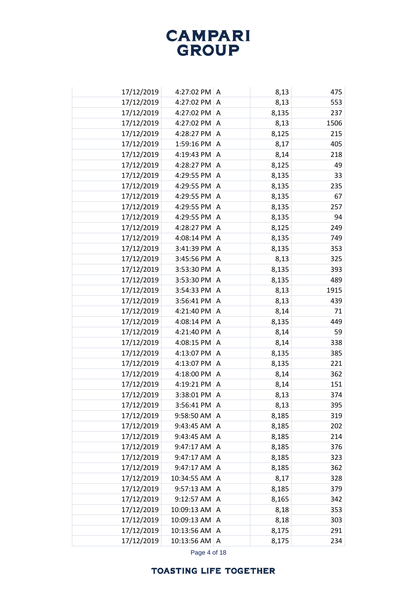| 17/12/2019 | 4:27:02 PM A           |                | 8,13  | 475  |
|------------|------------------------|----------------|-------|------|
| 17/12/2019 | 4:27:02 PM             | A              | 8,13  | 553  |
| 17/12/2019 | 4:27:02 PM             | Α              | 8,135 | 237  |
| 17/12/2019 | 4:27:02 PM             | $\overline{A}$ | 8,13  | 1506 |
| 17/12/2019 | 4:28:27 PM             | A              | 8,125 | 215  |
| 17/12/2019 | $1:59:16$ PM $\vert$ A |                | 8,17  | 405  |
| 17/12/2019 | 4:19:43 PM A           |                | 8,14  | 218  |
| 17/12/2019 | 4:28:27 PM A           |                | 8,125 | 49   |
| 17/12/2019 | 4:29:55 PM A           |                | 8,135 | 33   |
| 17/12/2019 | 4:29:55 PM             | A              | 8,135 | 235  |
| 17/12/2019 | 4:29:55 PM             | A              | 8,135 | 67   |
| 17/12/2019 | 4:29:55 PM             | Α              | 8,135 | 257  |
| 17/12/2019 | 4:29:55 PM             | A              | 8,135 | 94   |
| 17/12/2019 | 4:28:27 PM             | Α              | 8,125 | 249  |
| 17/12/2019 | 4:08:14 PM             | A              | 8,135 | 749  |
| 17/12/2019 | 3:41:39 PM             | Α              | 8,135 | 353  |
| 17/12/2019 | 3:45:56 PM             | A              | 8,13  | 325  |
| 17/12/2019 | 3:53:30 PM             | Α              | 8,135 | 393  |
| 17/12/2019 | 3:53:30 PM             | Α              | 8,135 | 489  |
| 17/12/2019 | 3:54:33 PM             | Α              | 8,13  | 1915 |
| 17/12/2019 | 3:56:41 PM             | A              | 8,13  | 439  |
| 17/12/2019 | 4:21:40 PM             | Α              | 8,14  | 71   |
| 17/12/2019 | 4:08:14 PM             | $\overline{A}$ | 8,135 | 449  |
| 17/12/2019 | 4:21:40 PM             | Α              | 8,14  | 59   |
| 17/12/2019 | 4:08:15 PM             | $\overline{A}$ | 8,14  | 338  |
| 17/12/2019 | 4:13:07 PM             | Α              | 8,135 | 385  |
| 17/12/2019 | 4:13:07 PM             | A              | 8,135 | 221  |
| 17/12/2019 | 4:18:00 PM             | Α              | 8,14  | 362  |
| 17/12/2019 | 4:19:21 PM             | A              | 8,14  | 151  |
| 17/12/2019 | 3:38:01 PM             | Α              | 8,13  | 374  |
| 17/12/2019 | 3:56:41 PM   A         |                | 8,13  | 395  |
| 17/12/2019 | 9:58:50 AM             | Α              | 8,185 | 319  |
| 17/12/2019 | 9:43:45 AM             | A              | 8,185 | 202  |
| 17/12/2019 | 9:43:45 AM             | Α              | 8,185 | 214  |
| 17/12/2019 | 9:47:17 AM             | A              | 8,185 | 376  |
| 17/12/2019 | 9:47:17 AM             | Α              | 8,185 | 323  |
| 17/12/2019 | 9:47:17 AM             | A              | 8,185 | 362  |
| 17/12/2019 | 10:34:55 AM            | Α              | 8,17  | 328  |
| 17/12/2019 | $9:57:13$ AM A         |                | 8,185 | 379  |
| 17/12/2019 | $9:12:57$ AM           | A              | 8,165 | 342  |
| 17/12/2019 | 10:09:13 AM            | A              | 8,18  | 353  |
| 17/12/2019 | 10:09:13 AM            | A              | 8,18  | 303  |
| 17/12/2019 | 10:13:56 AM A          |                | 8,175 | 291  |
| 17/12/2019 | 10:13:56 AM A          |                | 8,175 | 234  |

Page 4 of 18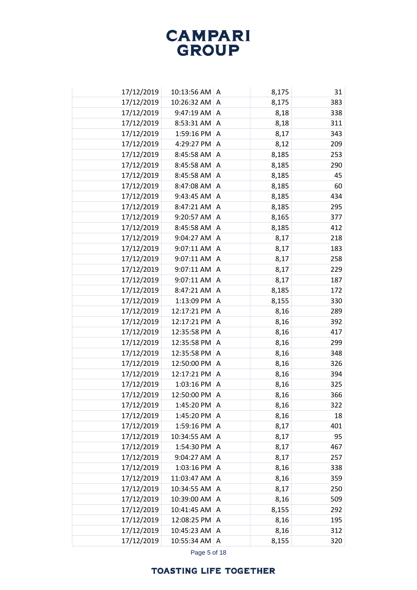| 17/12/2019 | 10:13:56 AM A   |                | 8,175 | 31  |
|------------|-----------------|----------------|-------|-----|
| 17/12/2019 | 10:26:32 AM     | A              | 8,175 | 383 |
| 17/12/2019 | 9:47:19 AM      | Α              | 8,18  | 338 |
| 17/12/2019 | 8:53:31 AM      | A              | 8,18  | 311 |
| 17/12/2019 | 1:59:16 PM      | A              | 8,17  | 343 |
| 17/12/2019 | 4:29:27 PM A    |                | 8,12  | 209 |
| 17/12/2019 | 8:45:58 AM      | A              | 8,185 | 253 |
| 17/12/2019 | 8:45:58 AM      | A              | 8,185 | 290 |
| 17/12/2019 | 8:45:58 AM      | A              | 8,185 | 45  |
| 17/12/2019 | 8:47:08 AM      | A              | 8,185 | 60  |
| 17/12/2019 | 9:43:45 AM      | A              | 8,185 | 434 |
| 17/12/2019 | 8:47:21 AM      | A              | 8,185 | 295 |
| 17/12/2019 | 9:20:57 AM      | A              | 8,165 | 377 |
| 17/12/2019 | 8:45:58 AM      | Α              | 8,185 | 412 |
| 17/12/2019 | 9:04:27 AM      | A              | 8,17  | 218 |
| 17/12/2019 | 9:07:11 AM      | Α              | 8,17  | 183 |
| 17/12/2019 | 9:07:11 AM      | A              | 8,17  | 258 |
| 17/12/2019 | 9:07:11 AM      | Α              | 8,17  | 229 |
| 17/12/2019 | 9:07:11 AM      | A              | 8,17  | 187 |
| 17/12/2019 | 8:47:21 AM      | Α              | 8,185 | 172 |
| 17/12/2019 | 1:13:09 PM      | A              | 8,155 | 330 |
| 17/12/2019 | 12:17:21 PM     | Α              | 8,16  | 289 |
| 17/12/2019 | 12:17:21 PM     | $\overline{A}$ | 8,16  | 392 |
| 17/12/2019 | 12:35:58 PM     | Α              | 8,16  | 417 |
| 17/12/2019 | 12:35:58 PM     | $\overline{A}$ | 8,16  | 299 |
| 17/12/2019 | 12:35:58 PM     | Α              | 8,16  | 348 |
| 17/12/2019 | 12:50:00 PM     | A              | 8,16  | 326 |
| 17/12/2019 | 12:17:21 PM     | Α              | 8,16  | 394 |
| 17/12/2019 | 1:03:16 PM      | A              | 8,16  | 325 |
| 17/12/2019 | 12:50:00 PM     | Α              | 8,16  | 366 |
| 17/12/2019 | 1:45:20 PM      | ∣A             | 8,16  | 322 |
| 17/12/2019 | 1:45:20 PM      | Α              | 8,16  | 18  |
| 17/12/2019 | $1:59:16$ PM    | A              | 8,17  | 401 |
| 17/12/2019 | 10:34:55 AM     | Α              | 8,17  | 95  |
| 17/12/2019 | 1:54:30 PM   A  |                | 8,17  | 467 |
| 17/12/2019 | 9:04:27 AM      | Α              | 8,17  | 257 |
| 17/12/2019 | 1:03:16 PM      | A              | 8,16  | 338 |
| 17/12/2019 | 11:03:47 AM     | Α              | 8,16  | 359 |
| 17/12/2019 | 10:34:55 AM A   |                | 8,17  | 250 |
| 17/12/2019 | 10:39:00 AM     | A              | 8,16  | 509 |
| 17/12/2019 | 10:41:45 AM     | A              | 8,155 | 292 |
| 17/12/2019 | 12:08:25 PM A   |                | 8,16  | 195 |
| 17/12/2019 | 10:45:23 AM A   |                | 8,16  | 312 |
| 17/12/2019 | 10:55:34 AM   A |                | 8,155 | 320 |

Page 5 of 18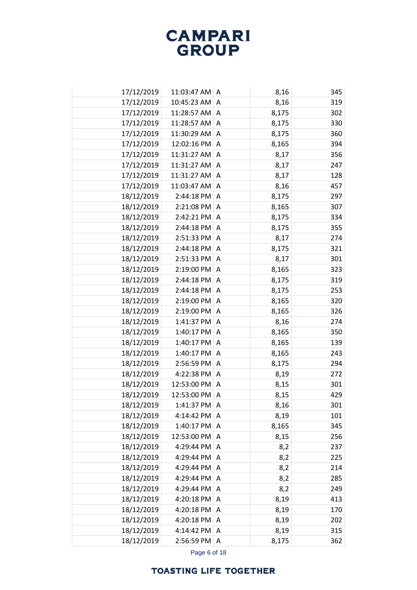| 17/12/2019 | 11:03:47 AM A |                | 8,16  | 345 |
|------------|---------------|----------------|-------|-----|
| 17/12/2019 | 10:45:23 AM   | A              | 8,16  | 319 |
| 17/12/2019 | 11:28:57 AM   | Α              | 8,175 | 302 |
| 17/12/2019 | 11:28:57 AM   | A              | 8,175 | 330 |
| 17/12/2019 | 11:30:29 AM   | A              | 8,175 | 360 |
| 17/12/2019 | 12:02:16 PM   | A              | 8,165 | 394 |
| 17/12/2019 | 11:31:27 AM   | A              | 8,17  | 356 |
| 17/12/2019 | 11:31:27 AM   | A              | 8,17  | 247 |
| 17/12/2019 | 11:31:27 AM A |                | 8,17  | 128 |
| 17/12/2019 | 11:03:47 AM   | A              | 8,16  | 457 |
| 18/12/2019 | 2:44:18 PM    | $\overline{A}$ | 8,175 | 297 |
| 18/12/2019 | 2:21:08 PM    | Α              | 8,165 | 307 |
| 18/12/2019 | 2:42:21 PM    | $\overline{A}$ | 8,175 | 334 |
| 18/12/2019 | 2:44:18 PM    | Α              | 8,175 | 355 |
| 18/12/2019 | 2:51:33 PM    | A              | 8,17  | 274 |
| 18/12/2019 | 2:44:18 PM    | Α              | 8,175 | 321 |
| 18/12/2019 | 2:51:33 PM    | A              | 8,17  | 301 |
| 18/12/2019 | 2:19:00 PM    | Α              | 8,165 | 323 |
| 18/12/2019 | 2:44:18 PM    | A              | 8,175 | 319 |
| 18/12/2019 | 2:44:18 PM    | Α              | 8,175 | 253 |
| 18/12/2019 | 2:19:00 PM    | Α              | 8,165 | 320 |
| 18/12/2019 | 2:19:00 PM    | A              | 8,165 | 326 |
| 18/12/2019 | 1:41:37 PM    | A              | 8,16  | 274 |
| 18/12/2019 | 1:40:17 PM    | Α              | 8,165 | 350 |
| 18/12/2019 | 1:40:17 PM    | $\overline{A}$ | 8,165 | 139 |
| 18/12/2019 | 1:40:17 PM    | Α              | 8,165 | 243 |
| 18/12/2019 | 2:56:59 PM    | A              | 8,175 | 294 |
| 18/12/2019 | 4:22:38 PM    | Α              | 8,19  | 272 |
| 18/12/2019 | 12:53:00 PM   | $\overline{A}$ | 8,15  | 301 |
| 18/12/2019 | 12:53:00 PM   | Α              | 8,15  | 429 |
| 18/12/2019 | 1:41:37 PM    | A              | 8,16  | 301 |
| 18/12/2019 | 4:14:42 PM    | Α              | 8,19  | 101 |
| 18/12/2019 | 1:40:17 PM    | A              | 8,165 | 345 |
| 18/12/2019 | 12:53:00 PM   | Α              | 8,15  | 256 |
| 18/12/2019 | 4:29:44 PM    | A              | 8,2   | 237 |
| 18/12/2019 | 4:29:44 PM    | Α              | 8,2   | 225 |
| 18/12/2019 | 4:29:44 PM    | Α              | 8,2   | 214 |
| 18/12/2019 | 4:29:44 PM    | Α              | 8,2   | 285 |
| 18/12/2019 | 4:29:44 PM    | A              | 8,2   | 249 |
| 18/12/2019 | 4:20:18 PM    | A              | 8,19  | 413 |
| 18/12/2019 | 4:20:18 PM    | A              | 8,19  | 170 |
| 18/12/2019 | 4:20:18 PM    | A              | 8,19  | 202 |
| 18/12/2019 | 4:14:42 PM    | Α              | 8,19  | 315 |
| 18/12/2019 | 2:56:59 PM    | A              | 8,175 | 362 |

Page 6 of 18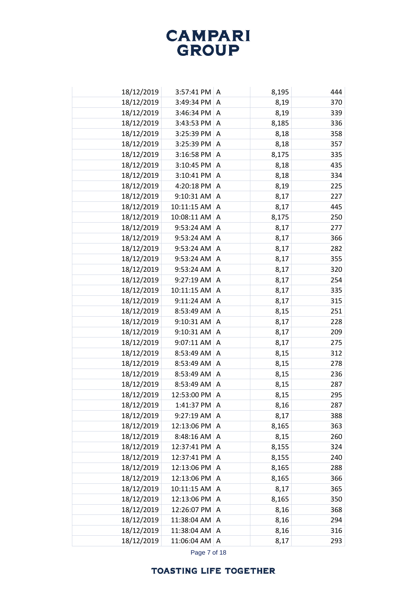| 18/12/2019 | 3:57:41 PM   A         |                | 8,195 | 444 |
|------------|------------------------|----------------|-------|-----|
| 18/12/2019 | 3:49:34 PM             | A              | 8,19  | 370 |
| 18/12/2019 | 3:46:34 PM A           |                | 8,19  | 339 |
| 18/12/2019 | 3:43:53 PM A           |                | 8,185 | 336 |
| 18/12/2019 | 3:25:39 PM             | A              | 8,18  | 358 |
| 18/12/2019 | 3:25:39 PM             | $\overline{A}$ | 8,18  | 357 |
| 18/12/2019 | $3:16:58$ PM $\vert$ A |                | 8,175 | 335 |
| 18/12/2019 | 3:10:45 PM             | A              | 8,18  | 435 |
| 18/12/2019 | 3:10:41 PM A           |                | 8,18  | 334 |
| 18/12/2019 | 4:20:18 PM             | A              | 8,19  | 225 |
| 18/12/2019 | 9:10:31 AM             | A              | 8,17  | 227 |
| 18/12/2019 | 10:11:15 AM            | A              | 8,17  | 445 |
| 18/12/2019 | 10:08:11 AM            | A              | 8,175 | 250 |
| 18/12/2019 | 9:53:24 AM             | Α              | 8,17  | 277 |
| 18/12/2019 | 9:53:24 AM             | A              | 8,17  | 366 |
| 18/12/2019 | 9:53:24 AM             | A              | 8,17  | 282 |
| 18/12/2019 | 9:53:24 AM             | A              | 8,17  | 355 |
| 18/12/2019 | 9:53:24 AM             | Α              | 8,17  | 320 |
| 18/12/2019 | 9:27:19 AM             | A              | 8,17  | 254 |
| 18/12/2019 | 10:11:15 AM            | Α              | 8,17  | 335 |
| 18/12/2019 | 9:11:24 AM             | A              | 8,17  | 315 |
| 18/12/2019 | 8:53:49 AM             | Α              | 8,15  | 251 |
| 18/12/2019 | 9:10:31 AM             | A              | 8,17  | 228 |
| 18/12/2019 | 9:10:31 AM             | Α              | 8,17  | 209 |
| 18/12/2019 | 9:07:11 AM             | $\overline{A}$ | 8,17  | 275 |
| 18/12/2019 | 8:53:49 AM             | Α              | 8,15  | 312 |
| 18/12/2019 | 8:53:49 AM             | A              | 8,15  | 278 |
| 18/12/2019 | 8:53:49 AM             | A              | 8,15  | 236 |
| 18/12/2019 | 8:53:49 AM             | A              | 8,15  | 287 |
| 18/12/2019 | 12:53:00 PM            | Α              | 8,15  | 295 |
| 18/12/2019 | 1:41:37 PM             | I A            | 8,16  | 287 |
| 18/12/2019 | 9:27:19 AM             | Α              | 8,17  | 388 |
| 18/12/2019 | 12:13:06 PM            | A              | 8,165 | 363 |
| 18/12/2019 | $8:48:16$ AM           | A              | 8,15  | 260 |
| 18/12/2019 | 12:37:41 PM            | $\overline{A}$ | 8,155 | 324 |
| 18/12/2019 | 12:37:41 PM            | A              | 8,155 | 240 |
| 18/12/2019 | 12:13:06 PM            | A              | 8,165 | 288 |
| 18/12/2019 | 12:13:06 PM   A        |                | 8,165 | 366 |
| 18/12/2019 | 10:11:15 AM A          |                | 8,17  | 365 |
| 18/12/2019 | 12:13:06 PM A          |                | 8,165 | 350 |
| 18/12/2019 | 12:26:07 PM            | $\Lambda$      | 8,16  | 368 |
| 18/12/2019 | 11:38:04 AM            | A              | 8,16  | 294 |
| 18/12/2019 | 11:38:04 AM            | A              | 8,16  | 316 |
| 18/12/2019 | 11:06:04 AM A          |                | 8,17  | 293 |

Page 7 of 18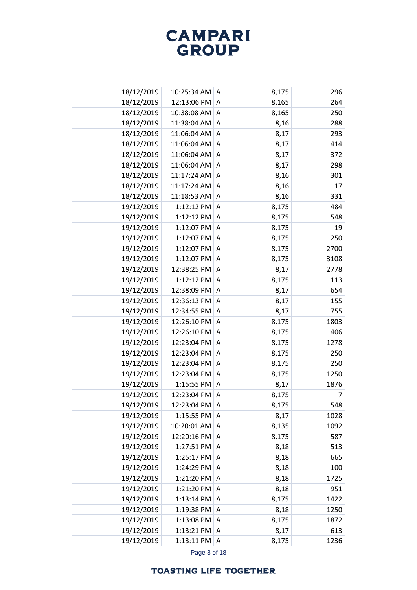| 18/12/2019 | 10:25:34 AM   | I A            | 8,175 | 296  |
|------------|---------------|----------------|-------|------|
| 18/12/2019 | 12:13:06 PM   | A              | 8,165 | 264  |
| 18/12/2019 | 10:38:08 AM   | Α              | 8,165 | 250  |
| 18/12/2019 | 11:38:04 AM   | A              | 8,16  | 288  |
| 18/12/2019 | 11:06:04 AM   | A              | 8,17  | 293  |
| 18/12/2019 | 11:06:04 AM   | A              | 8,17  | 414  |
| 18/12/2019 | 11:06:04 AM A |                | 8,17  | 372  |
| 18/12/2019 | 11:06:04 AM   | A              | 8,17  | 298  |
| 18/12/2019 | 11:17:24 AM A |                | 8,16  | 301  |
| 18/12/2019 | 11:17:24 AM   | A              | 8,16  | 17   |
| 18/12/2019 | 11:18:53 AM   | A              | 8,16  | 331  |
| 19/12/2019 | 1:12:12 PM    | Α              | 8,175 | 484  |
| 19/12/2019 | 1:12:12 PM    | $\overline{A}$ | 8,175 | 548  |
| 19/12/2019 | 1:12:07 PM    | Α              | 8,175 | 19   |
| 19/12/2019 | 1:12:07 PM    | A              | 8,175 | 250  |
| 19/12/2019 | 1:12:07 PM    | A              | 8,175 | 2700 |
| 19/12/2019 | 1:12:07 PM    | A              | 8,175 | 3108 |
| 19/12/2019 | 12:38:25 PM   | Α              | 8,17  | 2778 |
| 19/12/2019 | 1:12:12 PM    | A              | 8,175 | 113  |
| 19/12/2019 | 12:38:09 PM   | Α              | 8,17  | 654  |
| 19/12/2019 | 12:36:13 PM   | A              | 8,17  | 155  |
| 19/12/2019 | 12:34:55 PM   | A              | 8,17  | 755  |
| 19/12/2019 | 12:26:10 PM   | A              | 8,175 | 1803 |
| 19/12/2019 | 12:26:10 PM   | Α              | 8,175 | 406  |
| 19/12/2019 | 12:23:04 PM   | $\overline{A}$ | 8,175 | 1278 |
| 19/12/2019 | 12:23:04 PM   | Α              | 8,175 | 250  |
| 19/12/2019 | 12:23:04 PM   | A              | 8,175 | 250  |
| 19/12/2019 | 12:23:04 PM   | Α              | 8,175 | 1250 |
| 19/12/2019 | 1:15:55 PM    | $\overline{A}$ | 8,17  | 1876 |
| 19/12/2019 | 12:23:04 PM   | Α              | 8,175 | 7    |
| 19/12/2019 | 12:23:04 PM   | A              | 8,175 | 548  |
| 19/12/2019 | 1:15:55 PM    | Α              | 8,17  | 1028 |
| 19/12/2019 | 10:20:01 AM   | $\Lambda$      | 8,135 | 1092 |
| 19/12/2019 | 12:20:16 PM   | Α              | 8,175 | 587  |
| 19/12/2019 | 1:27:51 PM    | $\overline{A}$ | 8,18  | 513  |
| 19/12/2019 | 1:25:17 PM    | Α              | 8,18  | 665  |
| 19/12/2019 | 1:24:29 PM    | A              | 8,18  | 100  |
| 19/12/2019 | 1:21:20 PM    | A              | 8,18  | 1725 |
| 19/12/2019 | 1:21:20 PM    | A              | 8,18  | 951  |
| 19/12/2019 | 1:13:14 PM    | A              | 8,175 | 1422 |
| 19/12/2019 | 1:19:38 PM    | Α              | 8,18  | 1250 |
| 19/12/2019 | 1:13:08 PM    | A              | 8,175 | 1872 |
| 19/12/2019 | 1:13:21 PM    | Α              | 8,17  | 613  |
| 19/12/2019 | 1:13:11 PM    | A              | 8,175 | 1236 |

Page 8 of 18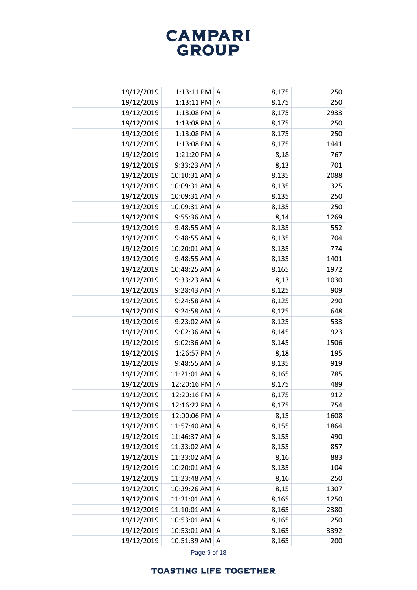| 19/12/2019 | $1:13:11$ PM $ A$ |                | 8,175 | 250  |
|------------|-------------------|----------------|-------|------|
| 19/12/2019 | 1:13:11 PM        | A              | 8,175 | 250  |
| 19/12/2019 | 1:13:08 PM        | Α              | 8,175 | 2933 |
| 19/12/2019 | 1:13:08 PM        | A              | 8,175 | 250  |
| 19/12/2019 | 1:13:08 PM        | Α              | 8,175 | 250  |
| 19/12/2019 | 1:13:08 PM        | A              | 8,175 | 1441 |
| 19/12/2019 | 1:21:20 PM        | A              | 8,18  | 767  |
| 19/12/2019 | 9:33:23 AM        | $\overline{A}$ | 8,13  | 701  |
| 19/12/2019 | 10:10:31 AM       | A              | 8,135 | 2088 |
| 19/12/2019 | 10:09:31 AM       | Α              | 8,135 | 325  |
| 19/12/2019 | 10:09:31 AM       | A              | 8,135 | 250  |
| 19/12/2019 | 10:09:31 AM A     |                | 8,135 | 250  |
| 19/12/2019 | 9:55:36 AM        | A              | 8,14  | 1269 |
| 19/12/2019 | 9:48:55 AM        | Α              | 8,135 | 552  |
| 19/12/2019 | 9:48:55 AM        | Α              | 8,135 | 704  |
| 19/12/2019 | 10:20:01 AM       | Α              | 8,135 | 774  |
| 19/12/2019 | 9:48:55 AM        | Α              | 8,135 | 1401 |
| 19/12/2019 | 10:48:25 AM       | Α              | 8,165 | 1972 |
| 19/12/2019 | 9:33:23 AM        | Α              | 8,13  | 1030 |
| 19/12/2019 | 9:28:43 AM        | Α              | 8,125 | 909  |
| 19/12/2019 | 9:24:58 AM        | Α              | 8,125 | 290  |
| 19/12/2019 | 9:24:58 AM        | Α              | 8,125 | 648  |
| 19/12/2019 | 9:23:02 AM        | A              | 8,125 | 533  |
| 19/12/2019 | 9:02:36 AM        | Α              | 8,145 | 923  |
| 19/12/2019 | 9:02:36 AM        | A              | 8,145 | 1506 |
| 19/12/2019 | 1:26:57 PM        | Α              | 8,18  | 195  |
| 19/12/2019 | 9:48:55 AM        | A              | 8,135 | 919  |
| 19/12/2019 | 11:21:01 AM       | Α              | 8,165 | 785  |
| 19/12/2019 | 12:20:16 PM       | A              | 8,175 | 489  |
| 19/12/2019 | 12:20:16 PM       | Α              | 8,175 | 912  |
| 19/12/2019 | 12:16:22 PM       | l A            | 8,175 | 754  |
| 19/12/2019 | 12:00:06 PM       | Α              | 8,15  | 1608 |
| 19/12/2019 | 11:57:40 AM       | Α              | 8,155 | 1864 |
| 19/12/2019 | 11:46:37 AM       | Α              | 8,155 | 490  |
| 19/12/2019 | 11:33:02 AM       | A              | 8,155 | 857  |
| 19/12/2019 | 11:33:02 AM       | A              | 8,16  | 883  |
| 19/12/2019 | 10:20:01 AM       | A              | 8,135 | 104  |
| 19/12/2019 | 11:23:48 AM       | A              | 8,16  | 250  |
| 19/12/2019 | 10:39:26 AM A     |                | 8,15  | 1307 |
| 19/12/2019 | 11:21:01 AM       | Α              | 8,165 | 1250 |
| 19/12/2019 | 11:10:01 AM       | Α              | 8,165 | 2380 |
| 19/12/2019 | 10:53:01 AM       | Α              | 8,165 | 250  |
| 19/12/2019 | 10:53:01 AM A     |                | 8,165 | 3392 |
| 19/12/2019 | 10:51:39 AM   A   |                | 8,165 | 200  |

Page 9 of 18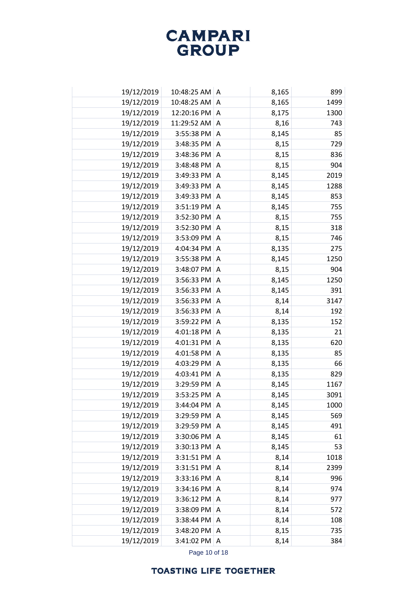| 19/12/2019 | 10:48:25 AM A          |                | 8,165 | 899  |
|------------|------------------------|----------------|-------|------|
| 19/12/2019 | 10:48:25 AM            | $\overline{A}$ | 8,165 | 1499 |
| 19/12/2019 | 12:20:16 PM A          |                | 8,175 | 1300 |
| 19/12/2019 | 11:29:52 AM A          |                | 8,16  | 743  |
| 19/12/2019 | 3:55:38 PM A           |                | 8,145 | 85   |
| 19/12/2019 | $3:48:35$ PM $\vert$ A |                | 8,15  | 729  |
| 19/12/2019 | 3:48:36 PM A           |                | 8,15  | 836  |
| 19/12/2019 | 3:48:48 PM A           |                | 8,15  | 904  |
| 19/12/2019 | 3:49:33 PM A           |                | 8,145 | 2019 |
| 19/12/2019 | 3:49:33 PM             | $\overline{A}$ | 8,145 | 1288 |
| 19/12/2019 | 3:49:33 PM A           |                | 8,145 | 853  |
| 19/12/2019 | 3:51:19 PM             | A              | 8,145 | 755  |
| 19/12/2019 | 3:52:30 PM A           |                | 8,15  | 755  |
| 19/12/2019 | 3:52:30 PM             | A              | 8,15  | 318  |
| 19/12/2019 | 3:53:09 PM             | $\overline{A}$ | 8,15  | 746  |
| 19/12/2019 | 4:04:34 PM             | A              | 8,135 | 275  |
| 19/12/2019 | 3:55:38 PM A           |                | 8,145 | 1250 |
| 19/12/2019 | 3:48:07 PM             | A              | 8,15  | 904  |
| 19/12/2019 | 3:56:33 PM             | $\overline{A}$ | 8,145 | 1250 |
| 19/12/2019 | 3:56:33 PM             | Α              | 8,145 | 391  |
| 19/12/2019 | 3:56:33 PM             | $\overline{A}$ | 8,14  | 3147 |
| 19/12/2019 | 3:56:33 PM             | A              | 8,14  | 192  |
| 19/12/2019 | 3:59:22 PM             | A              | 8,135 | 152  |
| 19/12/2019 | 4:01:18 PM             | Α              | 8,135 | 21   |
| 19/12/2019 | 4:01:31 PM             | A              | 8,135 | 620  |
| 19/12/2019 | 4:01:58 PM             | Α              | 8,135 | 85   |
| 19/12/2019 | 4:03:29 PM             | $\overline{A}$ | 8,135 | 66   |
| 19/12/2019 | 4:03:41 PM             | Α              | 8,135 | 829  |
| 19/12/2019 | 3:29:59 PM             | $\overline{A}$ | 8,145 | 1167 |
| 19/12/2019 | 3:53:25 PM             | Α              | 8,145 | 3091 |
| 19/12/2019 | 3:44:04 PM             | ۱A             | 8,145 | 1000 |
| 19/12/2019 | 3:29:59 PM             | A              | 8,145 | 569  |
| 19/12/2019 | 3:29:59 PM             | $\overline{A}$ | 8,145 | 491  |
| 19/12/2019 | 3:30:06 PM             | A              | 8,145 | 61   |
| 19/12/2019 | $3:30:13$ PM $\vert$ A |                | 8,145 | 53   |
| 19/12/2019 | 3:31:51 PM             | A              | 8,14  | 1018 |
| 19/12/2019 | 3:31:51 PM             | A              | 8,14  | 2399 |
| 19/12/2019 | $3:33:16$ PM $\vert$ A |                | 8,14  | 996  |
| 19/12/2019 | $3:34:16$ PM $\vert$ A |                | 8,14  | 974  |
| 19/12/2019 | $3:36:12$ PM $ A$      |                | 8,14  | 977  |
| 19/12/2019 | 3:38:09 PM             | A              | 8,14  | 572  |
| 19/12/2019 | 3:38:44 PM             | A              | 8,14  | 108  |
| 19/12/2019 | 3:48:20 PM             | A              | 8,15  | 735  |
| 19/12/2019 | 3:41:02 PM             | A              | 8,14  | 384  |
|            |                        |                |       |      |

Page 10 of 18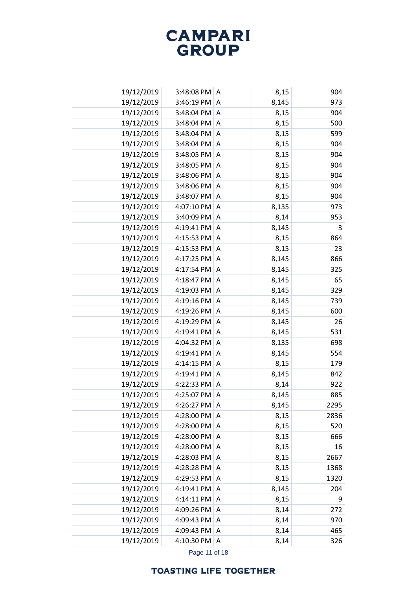| 19/12/2019 | $3:48:08$ PM $\mid$ A |                | 8,15  | 904  |
|------------|-----------------------|----------------|-------|------|
| 19/12/2019 | 3:46:19 PM            | A              | 8,145 | 973  |
| 19/12/2019 | 3:48:04 PM            | Α              | 8,15  | 904  |
| 19/12/2019 | 3:48:04 PM            | $\Lambda$      | 8,15  | 500  |
| 19/12/2019 | 3:48:04 PM            | Α              | 8,15  | 599  |
| 19/12/2019 | 3:48:04 PM            | A              | 8,15  | 904  |
| 19/12/2019 | 3:48:05 PM            | A              | 8,15  | 904  |
| 19/12/2019 | 3:48:05 PM            | A              | 8,15  | 904  |
| 19/12/2019 | 3:48:06 PM A          |                | 8,15  | 904  |
| 19/12/2019 | 3:48:06 PM            | A              | 8,15  | 904  |
| 19/12/2019 | 3:48:07 PM            | A              | 8,15  | 904  |
| 19/12/2019 | 4:07:10 PM            | Α              | 8,135 | 973  |
| 19/12/2019 | 3:40:09 PM            | A              | 8,14  | 953  |
| 19/12/2019 | 4:19:41 PM            | Α              | 8,145 | 3    |
| 19/12/2019 | 4:15:53 PM            | A              | 8,15  | 864  |
| 19/12/2019 | 4:15:53 PM            | A              | 8,15  | 23   |
| 19/12/2019 | 4:17:25 PM            | A              | 8,145 | 866  |
| 19/12/2019 | 4:17:54 PM            | Α              | 8,145 | 325  |
| 19/12/2019 | 4:18:47 PM            | Α              | 8,145 | 65   |
| 19/12/2019 | 4:19:03 PM            | Α              | 8,145 | 329  |
| 19/12/2019 | 4:19:16 PM            | Α              | 8,145 | 739  |
| 19/12/2019 | 4:19:26 PM            | A              | 8,145 | 600  |
| 19/12/2019 | 4:19:29 PM            | A              | 8,145 | 26   |
| 19/12/2019 | 4:19:41 PM            | Α              | 8,145 | 531  |
| 19/12/2019 | 4:04:32 PM            | $\overline{A}$ | 8,135 | 698  |
| 19/12/2019 | 4:19:41 PM            | Α              | 8,145 | 554  |
| 19/12/2019 | 4:14:15 PM            | A              | 8,15  | 179  |
| 19/12/2019 | 4:19:41 PM            | Α              | 8,145 | 842  |
| 19/12/2019 | 4:22:33 PM            | A              | 8,14  | 922  |
| 19/12/2019 | 4:25:07 PM            | Α              | 8,145 | 885  |
| 19/12/2019 | 4:26:27 PM            | A              | 8,145 | 2295 |
| 19/12/2019 | 4:28:00 PM            | Α              | 8,15  | 2836 |
| 19/12/2019 | 4:28:00 PM            | A              | 8,15  | 520  |
| 19/12/2019 | 4:28:00 PM            | Α              | 8,15  | 666  |
| 19/12/2019 | 4:28:00 PM            | A              | 8,15  | 16   |
| 19/12/2019 | 4:28:03 PM            | A              | 8,15  | 2667 |
| 19/12/2019 | 4:28:28 PM            | A              | 8,15  | 1368 |
| 19/12/2019 | 4:29:53 PM            | A              | 8,15  | 1320 |
| 19/12/2019 | 4:19:41 PM            | A              | 8,145 | 204  |
| 19/12/2019 | 4:14:11 PM            | A              | 8,15  | 9    |
| 19/12/2019 | 4:09:26 PM            | Α              | 8,14  | 272  |
| 19/12/2019 | 4:09:43 PM            | A              | 8,14  | 970  |
| 19/12/2019 | 4:09:43 PM            | Α              | 8,14  | 465  |
| 19/12/2019 | 4:10:30 PM            | A              | 8,14  | 326  |

Page 11 of 18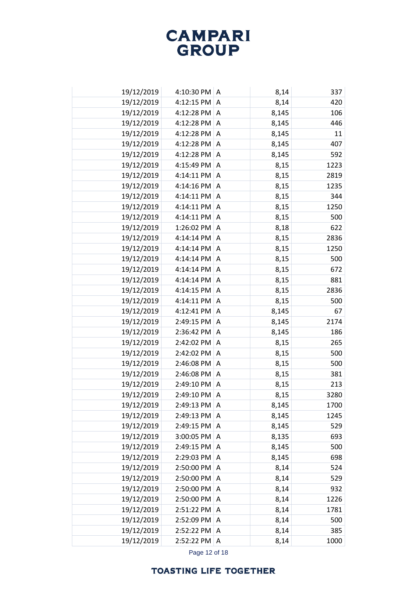| 19/12/2019 | 4:10:30 PM A |                | 8,14  | 337  |
|------------|--------------|----------------|-------|------|
| 19/12/2019 | 4:12:15 PM   | A              | 8,14  | 420  |
| 19/12/2019 | 4:12:28 PM   | A              | 8,145 | 106  |
| 19/12/2019 | 4:12:28 PM   | A              | 8,145 | 446  |
| 19/12/2019 | 4:12:28 PM   | Α              | 8,145 | 11   |
| 19/12/2019 | 4:12:28 PM   | A              | 8,145 | 407  |
| 19/12/2019 | 4:12:28 PM   | A              | 8,145 | 592  |
| 19/12/2019 | 4:15:49 PM   | A              | 8,15  | 1223 |
| 19/12/2019 | 4:14:11 PM   | A              | 8,15  | 2819 |
| 19/12/2019 | 4:14:16 PM   | Α              | 8,15  | 1235 |
| 19/12/2019 | 4:14:11 PM   | A              | 8,15  | 344  |
| 19/12/2019 | 4:14:11 PM   | Α              | 8,15  | 1250 |
| 19/12/2019 | 4:14:11 PM   | A              | 8,15  | 500  |
| 19/12/2019 | 1:26:02 PM   | Α              | 8,18  | 622  |
| 19/12/2019 | 4:14:14 PM   | A              | 8,15  | 2836 |
| 19/12/2019 | 4:14:14 PM   | Α              | 8,15  | 1250 |
| 19/12/2019 | 4:14:14 PM   | A              | 8,15  | 500  |
| 19/12/2019 | 4:14:14 PM   | Α              | 8,15  | 672  |
| 19/12/2019 | 4:14:14 PM   | Α              | 8,15  | 881  |
| 19/12/2019 | 4:14:15 PM   | Α              | 8,15  | 2836 |
| 19/12/2019 | 4:14:11 PM   | A              | 8,15  | 500  |
| 19/12/2019 | 4:12:41 PM   | Α              | 8,145 | 67   |
| 19/12/2019 | 2:49:15 PM   | A              | 8,145 | 2174 |
| 19/12/2019 | 2:36:42 PM   | Α              | 8,145 | 186  |
| 19/12/2019 | 2:42:02 PM   | A              | 8,15  | 265  |
| 19/12/2019 | 2:42:02 PM   | Α              | 8,15  | 500  |
| 19/12/2019 | 2:46:08 PM   | Α              | 8,15  | 500  |
| 19/12/2019 | 2:46:08 PM   | Α              | 8,15  | 381  |
| 19/12/2019 | 2:49:10 PM   | A              | 8,15  | 213  |
| 19/12/2019 | 2:49:10 PM   | Α              | 8,15  | 3280 |
| 19/12/2019 | 2:49:13 PM   | $\overline{A}$ | 8,145 | 1700 |
| 19/12/2019 | 2:49:13 PM   | A              | 8,145 | 1245 |
| 19/12/2019 | 2:49:15 PM   | A              | 8,145 | 529  |
| 19/12/2019 | 3:00:05 PM   | Α              | 8,135 | 693  |
| 19/12/2019 | 2:49:15 PM A |                | 8,145 | 500  |
| 19/12/2019 | 2:29:03 PM   | A              | 8,145 | 698  |
| 19/12/2019 | 2:50:00 PM   | Α              | 8,14  | 524  |
| 19/12/2019 | 2:50:00 PM   | Α              | 8,14  | 529  |
| 19/12/2019 | 2:50:00 PM A |                | 8,14  | 932  |
| 19/12/2019 | 2:50:00 PM A |                | 8,14  | 1226 |
| 19/12/2019 | 2:51:22 PM   | A              | 8,14  | 1781 |
| 19/12/2019 | 2:52:09 PM   | A              | 8,14  | 500  |
| 19/12/2019 | 2:52:22 PM A |                | 8,14  | 385  |
| 19/12/2019 | 2:52:22 PM A |                | 8,14  | 1000 |

Page 12 of 18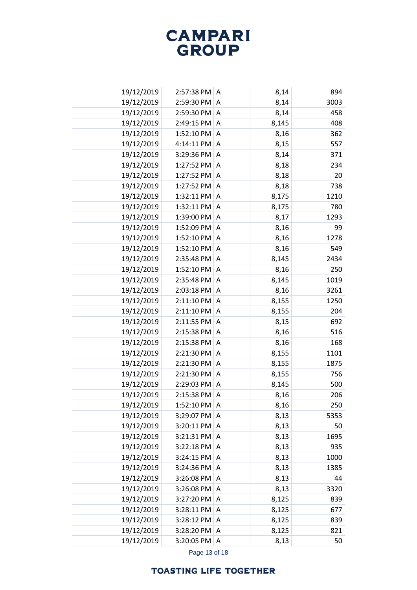| 19/12/2019 | 2:57:38 PM   A        |                | 8,14  | 894  |
|------------|-----------------------|----------------|-------|------|
| 19/12/2019 | 2:59:30 PM            | A              | 8,14  | 3003 |
| 19/12/2019 | 2:59:30 PM A          |                | 8,14  | 458  |
| 19/12/2019 | 2:49:15 PM A          |                | 8,145 | 408  |
| 19/12/2019 | 1:52:10 PM A          |                | 8,16  | 362  |
| 19/12/2019 | 4:14:11 PM            | A              | 8,15  | 557  |
| 19/12/2019 | 3:29:36 PM            | A              | 8,14  | 371  |
| 19/12/2019 | 1:27:52 PM            | Α              | 8,18  | 234  |
| 19/12/2019 | 1:27:52 PM            | A              | 8,18  | 20   |
| 19/12/2019 | 1:27:52 PM            | Α              | 8,18  | 738  |
| 19/12/2019 | 1:32:11 PM            | A              | 8,175 | 1210 |
| 19/12/2019 | 1:32:11 PM            | Α              | 8,175 | 780  |
| 19/12/2019 | 1:39:00 PM            | A              | 8,17  | 1293 |
| 19/12/2019 | 1:52:09 PM            | Α              | 8,16  | 99   |
| 19/12/2019 | 1:52:10 PM            | A              | 8,16  | 1278 |
| 19/12/2019 | 1:52:10 PM            | Α              | 8,16  | 549  |
| 19/12/2019 | 2:35:48 PM            | Α              | 8,145 | 2434 |
| 19/12/2019 | 1:52:10 PM            | Α              | 8,16  | 250  |
| 19/12/2019 | 2:35:48 PM            | $\overline{A}$ | 8,145 | 1019 |
| 19/12/2019 | 2:03:18 PM            | Α              | 8,16  | 3261 |
| 19/12/2019 | 2:11:10 PM            | $\overline{A}$ | 8,155 | 1250 |
| 19/12/2019 | 2:11:10 PM            | Α              | 8,155 | 204  |
| 19/12/2019 | 2:11:55 PM            | A              | 8,15  | 692  |
| 19/12/2019 | 2:15:38 PM            | Α              | 8,16  | 516  |
| 19/12/2019 | 2:15:38 PM            | A              | 8,16  | 168  |
| 19/12/2019 | 2:21:30 PM            | A              | 8,155 | 1101 |
| 19/12/2019 | 2:21:30 PM            | Α              | 8,155 | 1875 |
| 19/12/2019 | 2:21:30 PM            | A              | 8,155 | 756  |
| 19/12/2019 | 2:29:03 PM            | A              | 8,145 | 500  |
| 19/12/2019 | 2:15:38 PM            | Α              | 8,16  | 206  |
| 19/12/2019 | 1:52:10 PM A          |                | 8,16  | 250  |
| 19/12/2019 | 3:29:07 PM            | Α              | 8,13  | 5353 |
| 19/12/2019 | 3:20:11 PM            | A              | 8,13  | 50   |
| 19/12/2019 | 3:21:31 PM            | Α              | 8,13  | 1695 |
| 19/12/2019 | $3:22:18$ PM $ A$     |                | 8,13  | 935  |
| 19/12/2019 | $3:24:15$ PM $\mid$ A |                | 8,13  | 1000 |
| 19/12/2019 | 3:24:36 PM            | A              | 8,13  | 1385 |
| 19/12/2019 | 3:26:08 PM            | A              | 8,13  | 44   |
| 19/12/2019 | 3:26:08 PM            | $\overline{A}$ | 8,13  | 3320 |
| 19/12/2019 | 3:27:20 PM            | A              | 8,125 | 839  |
| 19/12/2019 | 3:28:11 PM            | Α              | 8,125 | 677  |
| 19/12/2019 | 3:28:12 PM            | Α              | 8,125 | 839  |
| 19/12/2019 | 3:28:20 PM            | Α              | 8,125 | 821  |
| 19/12/2019 | 3:20:05 PM            | A              | 8,13  | 50   |

Page 13 of 18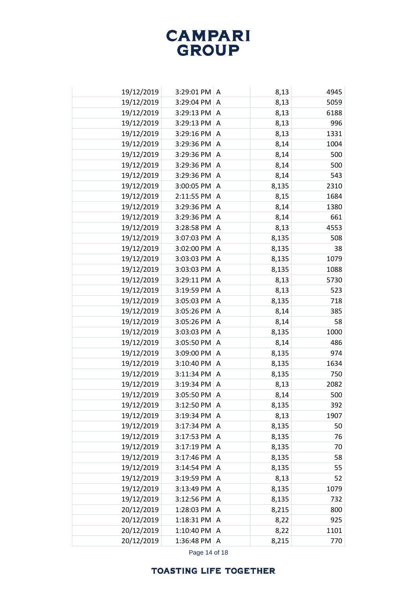| 19/12/2019 | 3:29:01 PM A           |                | 8,13  | 4945 |
|------------|------------------------|----------------|-------|------|
| 19/12/2019 | 3:29:04 PM             | A              | 8,13  | 5059 |
| 19/12/2019 | $3:29:13$ PM $ A$      |                | 8,13  | 6188 |
| 19/12/2019 | 3:29:13 PM A           |                | 8,13  | 996  |
| 19/12/2019 | 3:29:16 PM A           |                | 8,13  | 1331 |
| 19/12/2019 | 3:29:36 PM             | Α              | 8,14  | 1004 |
| 19/12/2019 | 3:29:36 PM             | A              | 8,14  | 500  |
| 19/12/2019 | 3:29:36 PM             | Α              | 8,14  | 500  |
| 19/12/2019 | 3:29:36 PM             | A              | 8,14  | 543  |
| 19/12/2019 | 3:00:05 PM             | Α              | 8,135 | 2310 |
| 19/12/2019 | 2:11:55 PM             | Α              | 8,15  | 1684 |
| 19/12/2019 | 3:29:36 PM             | Α              | 8,14  | 1380 |
| 19/12/2019 | 3:29:36 PM             | A              | 8,14  | 661  |
| 19/12/2019 | 3:28:58 PM             | Α              | 8,13  | 4553 |
| 19/12/2019 | 3:07:03 PM             | A              | 8,135 | 508  |
| 19/12/2019 | 3:02:00 PM             | Α              | 8,135 | 38   |
| 19/12/2019 | 3:03:03 PM             | A              | 8,135 | 1079 |
| 19/12/2019 | 3:03:03 PM             | Α              | 8,135 | 1088 |
| 19/12/2019 | 3:29:11 PM             | $\overline{A}$ | 8,13  | 5730 |
| 19/12/2019 | 3:19:59 PM             | Α              | 8,13  | 523  |
| 19/12/2019 | 3:05:03 PM             | A              | 8,135 | 718  |
| 19/12/2019 | 3:05:26 PM             | Α              | 8,14  | 385  |
| 19/12/2019 | 3:05:26 PM             | A              | 8,14  | 58   |
| 19/12/2019 | 3:03:03 PM             | Α              | 8,135 | 1000 |
| 19/12/2019 | 3:05:50 PM             | A              | 8,14  | 486  |
| 19/12/2019 | 3:09:00 PM             | Α              | 8,135 | 974  |
| 19/12/2019 | 3:10:40 PM             | Α              | 8,135 | 1634 |
| 19/12/2019 | 3:11:34 PM             | A              | 8,135 | 750  |
| 19/12/2019 | 3:19:34 PM             | A              | 8,13  | 2082 |
| 19/12/2019 | 3:05:50 PM             | Α              | 8,14  | 500  |
| 19/12/2019 | 3:12:50 PM A           |                | 8,135 | 392  |
| 19/12/2019 | 3:19:34 PM             | Α              | 8,13  | 1907 |
| 19/12/2019 | 3:17:34 PM             | A              | 8,135 | 50   |
| 19/12/2019 | 3:17:53 PM             | Α              | 8,135 | 76   |
| 19/12/2019 | $3:17:19$ PM $\vert$ A |                | 8,135 | 70   |
| 19/12/2019 | 3:17:46 PM A           |                | 8,135 | 58   |
| 19/12/2019 | 3:14:54 PM             | Α              | 8,135 | 55   |
| 19/12/2019 | 3:19:59 PM A           |                | 8,13  | 52   |
| 19/12/2019 | 3:13:49 PM A           |                | 8,135 | 1079 |
| 19/12/2019 | 3:12:56 PM             | A              | 8,135 | 732  |
| 20/12/2019 | 1:28:03 PM             | Α              | 8,215 | 800  |
| 20/12/2019 | 1:18:31 PM             | Α              | 8,22  | 925  |
| 20/12/2019 | 1:10:40 PM             | A              | 8,22  | 1101 |
| 20/12/2019 | 1:36:48 PM             | A              | 8,215 | 770  |

Page 14 of 18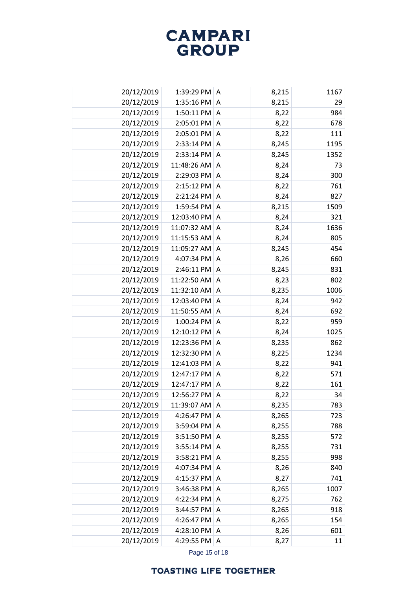| 20/12/2019 | 1:39:29 PM A           |                | 8,215 | 1167 |
|------------|------------------------|----------------|-------|------|
| 20/12/2019 | $1:35:16$ PM $ A$      |                | 8,215 | 29   |
| 20/12/2019 | $1:50:11$ PM $ A$      |                | 8,22  | 984  |
| 20/12/2019 | 2:05:01 PM A           |                | 8,22  | 678  |
| 20/12/2019 | 2:05:01 PM A           |                | 8,22  | 111  |
| 20/12/2019 | 2:33:14 PM A           |                | 8,245 | 1195 |
| 20/12/2019 | 2:33:14 PM A           |                | 8,245 | 1352 |
| 20/12/2019 | 11:48:26 AM A          |                | 8,24  | 73   |
| 20/12/2019 | 2:29:03 PM A           |                | 8,24  | 300  |
| 20/12/2019 | 2:15:12 PM             | A              | 8,22  | 761  |
| 20/12/2019 | 2:21:24 PM A           |                | 8,24  | 827  |
| 20/12/2019 | 1:59:54 PM             | A              | 8,215 | 1509 |
| 20/12/2019 | 12:03:40 PM            | A              | 8,24  | 321  |
| 20/12/2019 | 11:07:32 AM            | Α              | 8,24  | 1636 |
| 20/12/2019 | 11:15:53 AM            | $\overline{A}$ | 8,24  | 805  |
| 20/12/2019 | 11:05:27 AM            | Α              | 8,245 | 454  |
| 20/12/2019 | 4:07:34 PM             | $\overline{A}$ | 8,26  | 660  |
| 20/12/2019 | 2:46:11 PM             | A              | 8,245 | 831  |
| 20/12/2019 | 11:22:50 AM            | A              | 8,23  | 802  |
| 20/12/2019 | 11:32:10 AM            | A              | 8,235 | 1006 |
| 20/12/2019 | 12:03:40 PM            | A              | 8,24  | 942  |
| 20/12/2019 | 11:50:55 AM            | Α              | 8,24  | 692  |
| 20/12/2019 | 1:00:24 PM             | A              | 8,22  | 959  |
| 20/12/2019 | 12:10:12 PM            | Α              | 8,24  | 1025 |
| 20/12/2019 | 12:23:36 PM A          |                | 8,235 | 862  |
| 20/12/2019 | 12:32:30 PM            | A              | 8,225 | 1234 |
| 20/12/2019 | 12:41:03 PM A          |                | 8,22  | 941  |
| 20/12/2019 | 12:47:17 PM            | Α              | 8,22  | 571  |
| 20/12/2019 | 12:47:17 PM A          |                | 8,22  | 161  |
| 20/12/2019 | 12:56:27 PM            | A              | 8,22  | 34   |
| 20/12/2019 | 11:39:07 AM            | $\overline{A}$ | 8,235 | 783  |
| 20/12/2019 | 4:26:47 PM             | A              | 8,265 | 723  |
| 20/12/2019 | 3:59:04 PM             | $\overline{A}$ | 8,255 | 788  |
| 20/12/2019 | $3:51:50$ PM $\vert$ A |                | 8,255 | 572  |
| 20/12/2019 | $3:55:14$ PM $\vert$ A |                | 8,255 | 731  |
| 20/12/2019 | $3:58:21$ PM $ A$      |                | 8,255 | 998  |
| 20/12/2019 | 4:07:34 PM             | A              | 8,26  | 840  |
| 20/12/2019 | 4:15:37 PM A           |                | 8,27  | 741  |
| 20/12/2019 | 3:46:38 PM A           |                | 8,265 | 1007 |
| 20/12/2019 | 4:22:34 PM             | A              | 8,275 | 762  |
| 20/12/2019 | 3:44:57 PM             | A              | 8,265 | 918  |
| 20/12/2019 | 4:26:47 PM             | A              | 8,265 | 154  |
| 20/12/2019 | 4:28:10 PM             | $\overline{A}$ | 8,26  | 601  |
| 20/12/2019 | 4:29:55 PM             | A              | 8,27  | 11   |

Page 15 of 18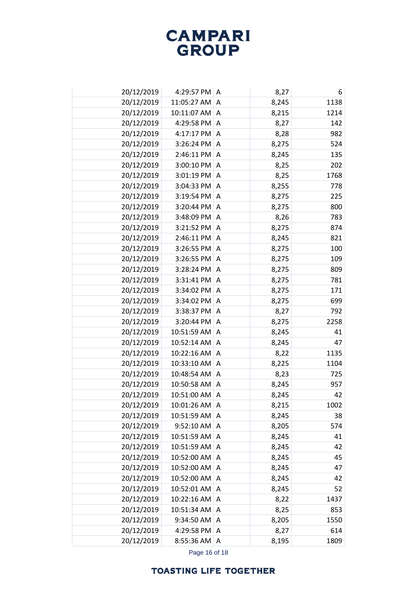| 20/12/2019 | 4:29:57 PM A          |                | 8,27  | 6    |
|------------|-----------------------|----------------|-------|------|
| 20/12/2019 | 11:05:27 AM           | A              | 8,245 | 1138 |
| 20/12/2019 | 10:11:07 AM           | A              | 8,215 | 1214 |
| 20/12/2019 | 4:29:58 PM            | A              | 8,27  | 142  |
| 20/12/2019 | 4:17:17 PM            | Α              | 8,28  | 982  |
| 20/12/2019 | 3:26:24 PM A          |                | 8,275 | 524  |
| 20/12/2019 | 2:46:11 PM A          |                | 8,245 | 135  |
| 20/12/2019 | 3:00:10 PM A          |                | 8,25  | 202  |
| 20/12/2019 | 3:01:19 PM A          |                | 8,25  | 1768 |
| 20/12/2019 | 3:04:33 PM            | A              | 8,255 | 778  |
| 20/12/2019 | $3:19:54$ PM $\mid$ A |                | 8,275 | 225  |
| 20/12/2019 | 3:20:44 PM            | A              | 8,275 | 800  |
| 20/12/2019 | 3:48:09 PM            | A              | 8,26  | 783  |
| 20/12/2019 | 3:21:52 PM            | Α              | 8,275 | 874  |
| 20/12/2019 | 2:46:11 PM            | A              | 8,245 | 821  |
| 20/12/2019 | 3:26:55 PM            | Α              | 8,275 | 100  |
| 20/12/2019 | 3:26:55 PM            | A              | 8,275 | 109  |
| 20/12/2019 | 3:28:24 PM            | Α              | 8,275 | 809  |
| 20/12/2019 | 3:31:41 PM            | A              | 8,275 | 781  |
| 20/12/2019 | 3:34:02 PM            | Α              | 8,275 | 171  |
| 20/12/2019 | 3:34:02 PM            | A              | 8,275 | 699  |
| 20/12/2019 | 3:38:37 PM            | Α              | 8,27  | 792  |
| 20/12/2019 | 3:20:44 PM            | $\overline{A}$ | 8,275 | 2258 |
| 20/12/2019 | 10:51:59 AM           | Α              | 8,245 | 41   |
| 20/12/2019 | 10:52:14 AM           | A              | 8,245 | 47   |
| 20/12/2019 | 10:22:16 AM           | Α              | 8,22  | 1135 |
| 20/12/2019 | 10:33:10 AM           | A              | 8,225 | 1104 |
| 20/12/2019 | 10:48:54 AM           | A              | 8,23  | 725  |
| 20/12/2019 | 10:50:58 AM           | A              | 8,245 | 957  |
| 20/12/2019 | 10:51:00 AM           | Α              | 8,245 | 42   |
| 20/12/2019 | 10:01:26 AM           | I A            | 8,215 | 1002 |
| 20/12/2019 | 10:51:59 AM           | A              | 8,245 | 38   |
| 20/12/2019 | $9:52:10$ AM   A      |                | 8,205 | 574  |
| 20/12/2019 | 10:51:59 AM           | A              | 8,245 | 41   |
| 20/12/2019 | 10:51:59 AM           | A              | 8,245 | 42   |
| 20/12/2019 | 10:52:00 AM           | A              | 8,245 | 45   |
| 20/12/2019 | 10:52:00 AM           | A              | 8,245 | 47   |
| 20/12/2019 | 10:52:00 AM           | A              | 8,245 | 42   |
| 20/12/2019 | 10:52:01 AM A         |                | 8,245 | 52   |
| 20/12/2019 | 10:22:16 AM           | A              | 8,22  | 1437 |
| 20/12/2019 | 10:51:34 AM           | A              | 8,25  | 853  |
| 20/12/2019 | 9:34:50 AM            | Α              | 8,205 | 1550 |
| 20/12/2019 | 4:29:58 PM A          |                | 8,27  | 614  |
| 20/12/2019 | $8:55:36$ AM   A      |                | 8,195 | 1809 |

Page 16 of 18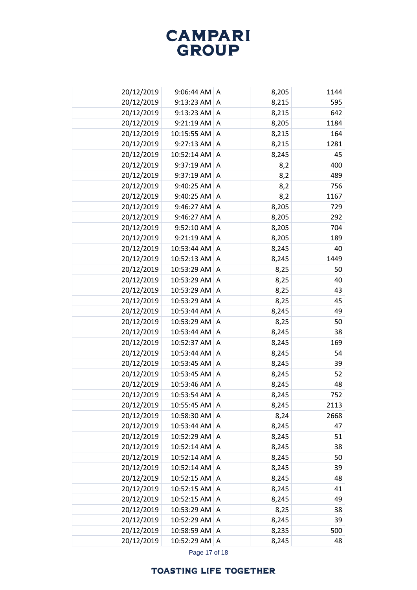| 20/12/2019 | $9:06:44$ AM A  |                | 8,205 | 1144 |
|------------|-----------------|----------------|-------|------|
| 20/12/2019 | 9:13:23 AM      | A              | 8,215 | 595  |
| 20/12/2019 | $9:13:23$ AM    | A              | 8,215 | 642  |
| 20/12/2019 | $9:21:19$ AM    | $\overline{A}$ | 8,205 | 1184 |
| 20/12/2019 | 10:15:55 AM     | Α              | 8,215 | 164  |
| 20/12/2019 | $9:27:13$ AM A  |                | 8,215 | 1281 |
| 20/12/2019 | 10:52:14 AM     | A              | 8,245 | 45   |
| 20/12/2019 | 9:37:19 AM   A  |                | 8,2   | 400  |
| 20/12/2019 | 9:37:19 AM      | A              | 8,2   | 489  |
| 20/12/2019 | $9:40:25$ AM    | A              | 8,2   | 756  |
| 20/12/2019 | $9:40:25$ AM A  |                | 8,2   | 1167 |
| 20/12/2019 | 9:46:27 AM A    |                | 8,205 | 729  |
| 20/12/2019 | 9:46:27 AM      | A              | 8,205 | 292  |
| 20/12/2019 | $9:52:10$ AM    | Α              | 8,205 | 704  |
| 20/12/2019 | $9:21:19$ AM    | A              | 8,205 | 189  |
| 20/12/2019 | 10:53:44 AM     | A              | 8,245 | 40   |
| 20/12/2019 | 10:52:13 AM     | A              | 8,245 | 1449 |
| 20/12/2019 | 10:53:29 AM     | Α              | 8,25  | 50   |
| 20/12/2019 | 10:53:29 AM     | A              | 8,25  | 40   |
| 20/12/2019 | 10:53:29 AM     | Α              | 8,25  | 43   |
| 20/12/2019 | 10:53:29 AM     | A              | 8,25  | 45   |
| 20/12/2019 | 10:53:44 AM     | Α              | 8,245 | 49   |
| 20/12/2019 | 10:53:29 AM     | $\overline{A}$ | 8,25  | 50   |
| 20/12/2019 | 10:53:44 AM     | Α              | 8,245 | 38   |
| 20/12/2019 | 10:52:37 AM     | $\overline{A}$ | 8,245 | 169  |
| 20/12/2019 | 10:53:44 AM     | Α              | 8,245 | 54   |
| 20/12/2019 | 10:53:45 AM     | $\overline{A}$ | 8,245 | 39   |
| 20/12/2019 | 10:53:45 AM     | Α              | 8,245 | 52   |
| 20/12/2019 | 10:53:46 AM     | $\Lambda$      | 8,245 | 48   |
| 20/12/2019 | 10:53:54 AM     | Α              | 8,245 | 752  |
| 20/12/2019 | 10:55:45 AM     | I A            | 8,245 | 2113 |
| 20/12/2019 | 10:58:30 AM     | A              | 8,24  | 2668 |
| 20/12/2019 | 10:53:44 AM     | A              | 8,245 | 47   |
| 20/12/2019 | 10:52:29 AM     | A              | 8,245 | 51   |
| 20/12/2019 | 10:52:14 AM   A |                | 8,245 | 38   |
| 20/12/2019 | 10:52:14 AM     | A              | 8,245 | 50   |
| 20/12/2019 | 10:52:14 AM     | A              | 8,245 | 39   |
| 20/12/2019 | 10:52:15 AM     | A              | 8,245 | 48   |
| 20/12/2019 | 10:52:15 AM A   |                | 8,245 | 41   |
| 20/12/2019 | 10:52:15 AM   A |                | 8,245 | 49   |
| 20/12/2019 | 10:53:29 AM A   |                | 8,25  | 38   |
| 20/12/2019 | 10:52:29 AM     | A              | 8,245 | 39   |
| 20/12/2019 | 10:58:59 AM A   |                | 8,235 | 500  |
| 20/12/2019 | 10:52:29 AM   A |                | 8,245 | 48   |

Page 17 of 18